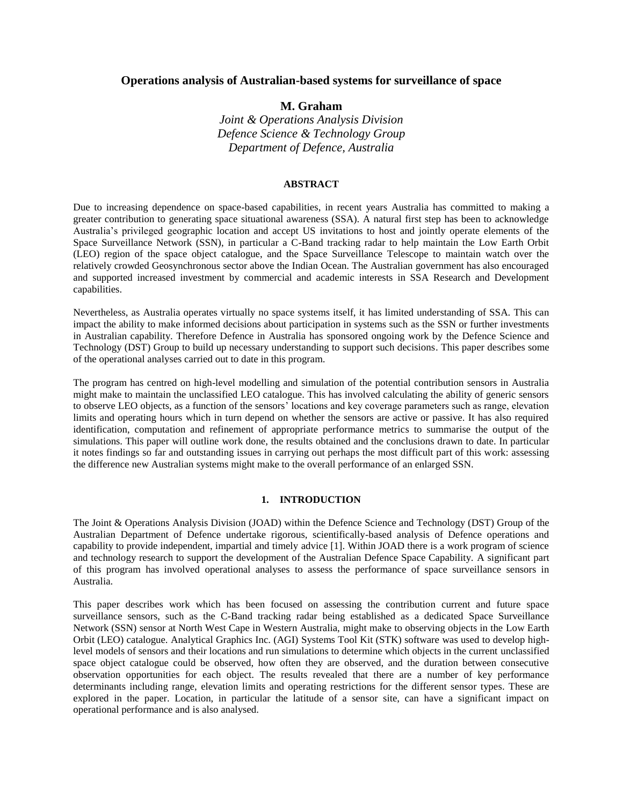# **Operations analysis of Australian-based systems for surveillance of space**

**M. Graham**

*Joint & Operations Analysis Division Defence Science & Technology Group Department of Defence, Australia*

#### **ABSTRACT**

Due to increasing dependence on space-based capabilities, in recent years Australia has committed to making a greater contribution to generating space situational awareness (SSA). A natural first step has been to acknowledge Australia's privileged geographic location and accept US invitations to host and jointly operate elements of the Space Surveillance Network (SSN), in particular a C-Band tracking radar to help maintain the Low Earth Orbit (LEO) region of the space object catalogue, and the Space Surveillance Telescope to maintain watch over the relatively crowded Geosynchronous sector above the Indian Ocean. The Australian government has also encouraged and supported increased investment by commercial and academic interests in SSA Research and Development capabilities.

Nevertheless, as Australia operates virtually no space systems itself, it has limited understanding of SSA. This can impact the ability to make informed decisions about participation in systems such as the SSN or further investments in Australian capability. Therefore Defence in Australia has sponsored ongoing work by the Defence Science and Technology (DST) Group to build up necessary understanding to support such decisions. This paper describes some of the operational analyses carried out to date in this program.

The program has centred on high-level modelling and simulation of the potential contribution sensors in Australia might make to maintain the unclassified LEO catalogue. This has involved calculating the ability of generic sensors to observe LEO objects, as a function of the sensors' locations and key coverage parameters such as range, elevation limits and operating hours which in turn depend on whether the sensors are active or passive. It has also required identification, computation and refinement of appropriate performance metrics to summarise the output of the simulations. This paper will outline work done, the results obtained and the conclusions drawn to date. In particular it notes findings so far and outstanding issues in carrying out perhaps the most difficult part of this work: assessing the difference new Australian systems might make to the overall performance of an enlarged SSN.

#### **1. INTRODUCTION**

The Joint & Operations Analysis Division (JOAD) within the Defence Science and Technology (DST) Group of the Australian Department of Defence undertake rigorous, scientifically-based analysis of Defence operations and capability to provide independent, impartial and timely advice [\[1\]](#page-9-0). Within JOAD there is a work program of science and technology research to support the development of the Australian Defence Space Capability. A significant part of this program has involved operational analyses to assess the performance of space surveillance sensors in Australia.

This paper describes work which has been focused on assessing the contribution current and future space surveillance sensors, such as the C-Band tracking radar being established as a dedicated Space Surveillance Network (SSN) sensor at North West Cape in Western Australia, might make to observing objects in the Low Earth Orbit (LEO) catalogue. Analytical Graphics Inc. (AGI) Systems Tool Kit (STK) software was used to develop highlevel models of sensors and their locations and run simulations to determine which objects in the current unclassified space object catalogue could be observed, how often they are observed, and the duration between consecutive observation opportunities for each object. The results revealed that there are a number of key performance determinants including range, elevation limits and operating restrictions for the different sensor types. These are explored in the paper. Location, in particular the latitude of a sensor site, can have a significant impact on operational performance and is also analysed.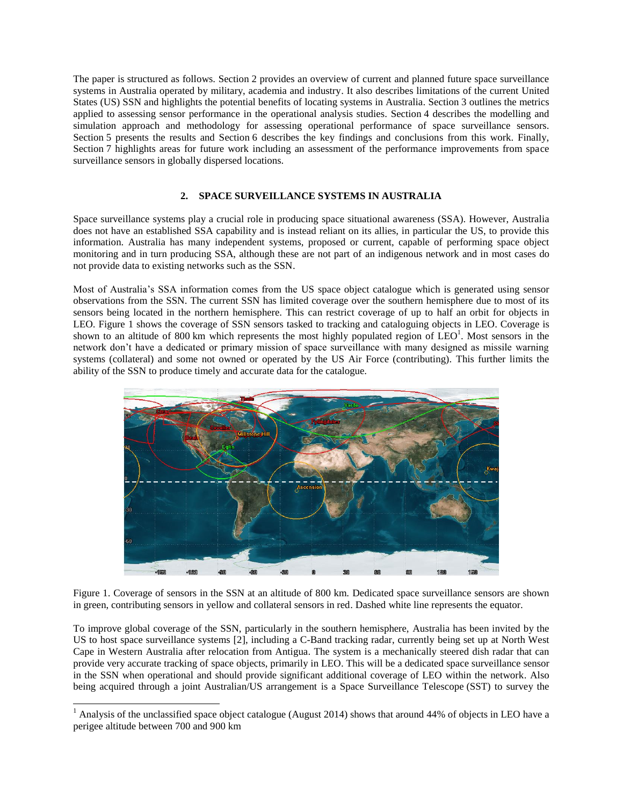The paper is structured as follows. Section 2 provides an overview of current and planned future space surveillance systems in Australia operated by military, academia and industry. It also describes limitations of the current United States (US) SSN and highlights the potential benefits of locating systems in Australia. Section 3 outlines the metrics applied to assessing sensor performance in the operational analysis studies. Section 4 describes the modelling and simulation approach and methodology for assessing operational performance of space surveillance sensors. Section 5 presents the results and Section 6 describes the key findings and conclusions from this work. Finally, Section 7 highlights areas for future work including an assessment of the performance improvements from space surveillance sensors in globally dispersed locations.

# **2. SPACE SURVEILLANCE SYSTEMS IN AUSTRALIA**

Space surveillance systems play a crucial role in producing space situational awareness (SSA). However, Australia does not have an established SSA capability and is instead reliant on its allies, in particular the US, to provide this information. Australia has many independent systems, proposed or current, capable of performing space object monitoring and in turn producing SSA, although these are not part of an indigenous network and in most cases do not provide data to existing networks such as the SSN.

Most of Australia's SSA information comes from the US space object catalogue which is generated using sensor observations from the SSN. The current SSN has limited coverage over the southern hemisphere due to most of its sensors being located in the northern hemisphere. This can restrict coverage of up to half an orbit for objects in LEO. Figure 1 shows the coverage of SSN sensors tasked to tracking and cataloguing objects in LEO. Coverage is shown to an altitude of 800 km which represents the most highly populated region of  $LEO<sup>1</sup>$ . Most sensors in the network don't have a dedicated or primary mission of space surveillance with many designed as missile warning systems (collateral) and some not owned or operated by the US Air Force (contributing). This further limits the ability of the SSN to produce timely and accurate data for the catalogue.



Figure 1. Coverage of sensors in the SSN at an altitude of 800 km. Dedicated space surveillance sensors are shown in green, contributing sensors in yellow and collateral sensors in red. Dashed white line represents the equator.

To improve global coverage of the SSN, particularly in the southern hemisphere, Australia has been invited by the US to host space surveillance systems [\[2\]](#page-9-1), including a C-Band tracking radar, currently being set up at North West Cape in Western Australia after relocation from Antigua. The system is a mechanically steered dish radar that can provide very accurate tracking of space objects, primarily in LEO. This will be a dedicated space surveillance sensor in the SSN when operational and should provide significant additional coverage of LEO within the network. Also being acquired through a joint Australian/US arrangement is a Space Surveillance Telescope (SST) to survey the

 $\overline{a}$ 

 $1$  Analysis of the unclassified space object catalogue (August 2014) shows that around 44% of objects in LEO have a perigee altitude between 700 and 900 km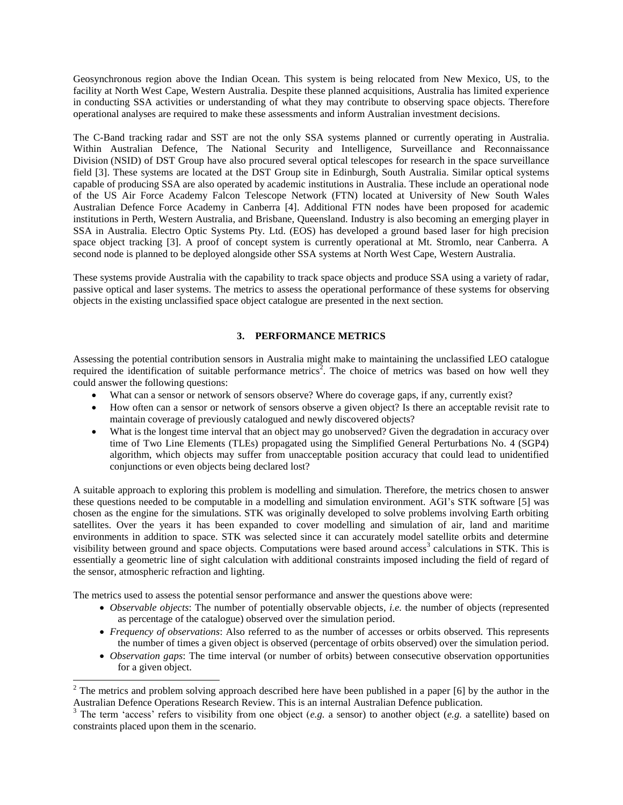Geosynchronous region above the Indian Ocean. This system is being relocated from New Mexico, US, to the facility at North West Cape, Western Australia. Despite these planned acquisitions, Australia has limited experience in conducting SSA activities or understanding of what they may contribute to observing space objects. Therefore operational analyses are required to make these assessments and inform Australian investment decisions.

The C-Band tracking radar and SST are not the only SSA systems planned or currently operating in Australia. Within Australian Defence, The National Security and Intelligence, Surveillance and Reconnaissance Division (NSID) of DST Group have also procured several optical telescopes for research in the space surveillance field [\[3\]](#page-9-2). These systems are located at the DST Group site in Edinburgh, South Australia. Similar optical systems capable of producing SSA are also operated by academic institutions in Australia. These include an operational node of the US Air Force Academy Falcon Telescope Network (FTN) located at University of New South Wales Australian Defence Force Academy in Canberra [\[4\]](#page-9-3). Additional FTN nodes have been proposed for academic institutions in Perth, Western Australia, and Brisbane, Queensland. Industry is also becoming an emerging player in SSA in Australia. Electro Optic Systems Pty. Ltd. (EOS) has developed a ground based laser for high precision space object tracking [\[3\]](#page-9-2). A proof of concept system is currently operational at Mt. Stromlo, near Canberra. A second node is planned to be deployed alongside other SSA systems at North West Cape, Western Australia.

These systems provide Australia with the capability to track space objects and produce SSA using a variety of radar, passive optical and laser systems. The metrics to assess the operational performance of these systems for observing objects in the existing unclassified space object catalogue are presented in the next section.

# **3. PERFORMANCE METRICS**

Assessing the potential contribution sensors in Australia might make to maintaining the unclassified LEO catalogue required the identification of suitable performance metrics<sup>2</sup>. The choice of metrics was based on how well they could answer the following questions:

- What can a sensor or network of sensors observe? Where do coverage gaps, if any, currently exist?
- How often can a sensor or network of sensors observe a given object? Is there an acceptable revisit rate to maintain coverage of previously catalogued and newly discovered objects?
- What is the longest time interval that an object may go unobserved? Given the degradation in accuracy over time of Two Line Elements (TLEs) propagated using the Simplified General Perturbations No. 4 (SGP4) algorithm, which objects may suffer from unacceptable position accuracy that could lead to unidentified conjunctions or even objects being declared lost?

A suitable approach to exploring this problem is modelling and simulation. Therefore, the metrics chosen to answer these questions needed to be computable in a modelling and simulation environment. AGI's STK software [\[5\]](#page-9-4) was chosen as the engine for the simulations. STK was originally developed to solve problems involving Earth orbiting satellites. Over the years it has been expanded to cover modelling and simulation of air, land and maritime environments in addition to space. STK was selected since it can accurately model satellite orbits and determine visibility between ground and space objects. Computations were based around access<sup>3</sup> calculations in STK. This is essentially a geometric line of sight calculation with additional constraints imposed including the field of regard of the sensor, atmospheric refraction and lighting.

The metrics used to assess the potential sensor performance and answer the questions above were:

 $\overline{a}$ 

- *Observable objects*: The number of potentially observable objects, *i.e.* the number of objects (represented as percentage of the catalogue) observed over the simulation period.
- *Frequency of observations*: Also referred to as the number of accesses or orbits observed. This represents the number of times a given object is observed (percentage of orbits observed) over the simulation period.
- *Observation gaps*: The time interval (or number of orbits) between consecutive observation opportunities for a given object.

<sup>&</sup>lt;sup>2</sup> The metrics and problem solving approach described here have been published in a paper [\[6\]](#page-9-5) by the author in the Australian Defence Operations Research Review. This is an internal Australian Defence publication.

<sup>&</sup>lt;sup>3</sup> The term 'access' refers to visibility from one object (*e.g.* a sensor) to another object (*e.g.* a satellite) based on constraints placed upon them in the scenario.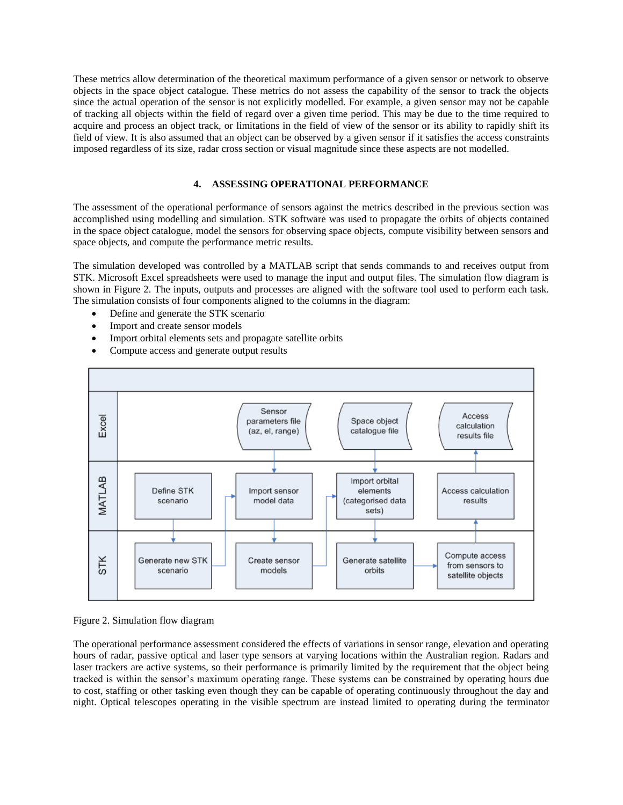These metrics allow determination of the theoretical maximum performance of a given sensor or network to observe objects in the space object catalogue. These metrics do not assess the capability of the sensor to track the objects since the actual operation of the sensor is not explicitly modelled. For example, a given sensor may not be capable of tracking all objects within the field of regard over a given time period. This may be due to the time required to acquire and process an object track, or limitations in the field of view of the sensor or its ability to rapidly shift its field of view. It is also assumed that an object can be observed by a given sensor if it satisfies the access constraints imposed regardless of its size, radar cross section or visual magnitude since these aspects are not modelled.

# **4. ASSESSING OPERATIONAL PERFORMANCE**

The assessment of the operational performance of sensors against the metrics described in the previous section was accomplished using modelling and simulation. STK software was used to propagate the orbits of objects contained in the space object catalogue, model the sensors for observing space objects, compute visibility between sensors and space objects, and compute the performance metric results.

The simulation developed was controlled by a MATLAB script that sends commands to and receives output from STK. Microsoft Excel spreadsheets were used to manage the input and output files. The simulation flow diagram is shown in Figure 2. The inputs, outputs and processes are aligned with the software tool used to perform each task. The simulation consists of four components aligned to the columns in the diagram:

- Define and generate the STK scenario
- Import and create sensor models
- Import orbital elements sets and propagate satellite orbits
- Compute access and generate output results



## Figure 2. Simulation flow diagram

The operational performance assessment considered the effects of variations in sensor range, elevation and operating hours of radar, passive optical and laser type sensors at varying locations within the Australian region. Radars and laser trackers are active systems, so their performance is primarily limited by the requirement that the object being tracked is within the sensor's maximum operating range. These systems can be constrained by operating hours due to cost, staffing or other tasking even though they can be capable of operating continuously throughout the day and night. Optical telescopes operating in the visible spectrum are instead limited to operating during the terminator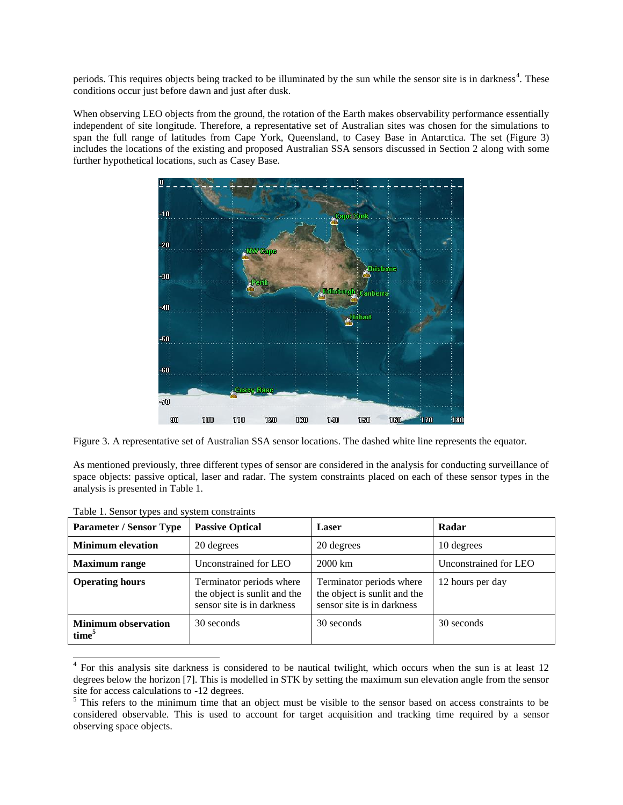periods. This requires objects being tracked to be illuminated by the sun while the sensor site is in darkness<sup>4</sup>. These conditions occur just before dawn and just after dusk.

When observing LEO objects from the ground, the rotation of the Earth makes observability performance essentially independent of site longitude. Therefore, a representative set of Australian sites was chosen for the simulations to span the full range of latitudes from Cape York, Queensland, to Casey Base in Antarctica. The set (Figure 3) includes the locations of the existing and proposed Australian SSA sensors discussed in Section 2 along with some further hypothetical locations, such as Casey Base.



Figure 3. A representative set of Australian SSA sensor locations. The dashed white line represents the equator.

As mentioned previously, three different types of sensor are considered in the analysis for conducting surveillance of space objects: passive optical, laser and radar. The system constraints placed on each of these sensor types in the analysis is presented in Table 1.

| <b>Parameter / Sensor Type</b>                  | <b>Passive Optical</b>                                                                 | Laser                                                                                  | Radar                 |
|-------------------------------------------------|----------------------------------------------------------------------------------------|----------------------------------------------------------------------------------------|-----------------------|
| <b>Minimum elevation</b>                        | 20 degrees                                                                             | 20 degrees                                                                             | 10 degrees            |
| <b>Maximum</b> range                            | Unconstrained for LEO                                                                  | $2000 \mathrm{km}$                                                                     | Unconstrained for LEO |
| <b>Operating hours</b>                          | Terminator periods where<br>the object is sunlit and the<br>sensor site is in darkness | Terminator periods where<br>the object is sunlit and the<br>sensor site is in darkness | 12 hours per day      |
| <b>Minimum observation</b><br>time <sup>5</sup> | 30 seconds                                                                             | 30 seconds                                                                             | 30 seconds            |

Table 1. Sensor types and system constraints

<sup>&</sup>lt;sup>4</sup> For this analysis site darkness is considered to be nautical twilight, which occurs when the sun is at least 12 degrees below the horizon [\[7\]](#page-9-6). This is modelled in STK by setting the maximum sun elevation angle from the sensor site for access calculations to -12 degrees.

<sup>&</sup>lt;sup>5</sup> This refers to the minimum time that an object must be visible to the sensor based on access constraints to be considered observable. This is used to account for target acquisition and tracking time required by a sensor observing space objects.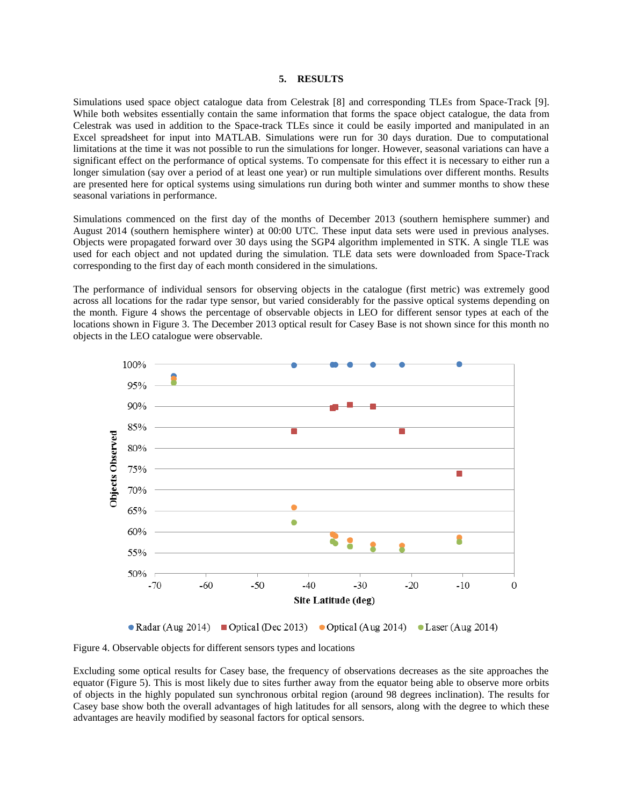### **5. RESULTS**

Simulations used space object catalogue data from Celestrak [\[8\]](#page-9-7) and corresponding TLEs from Space-Track [\[9\]](#page-9-8). While both websites essentially contain the same information that forms the space object catalogue, the data from Celestrak was used in addition to the Space-track TLEs since it could be easily imported and manipulated in an Excel spreadsheet for input into MATLAB. Simulations were run for 30 days duration. Due to computational limitations at the time it was not possible to run the simulations for longer. However, seasonal variations can have a significant effect on the performance of optical systems. To compensate for this effect it is necessary to either run a longer simulation (say over a period of at least one year) or run multiple simulations over different months. Results are presented here for optical systems using simulations run during both winter and summer months to show these seasonal variations in performance.

Simulations commenced on the first day of the months of December 2013 (southern hemisphere summer) and August 2014 (southern hemisphere winter) at 00:00 UTC. These input data sets were used in previous analyses. Objects were propagated forward over 30 days using the SGP4 algorithm implemented in STK. A single TLE was used for each object and not updated during the simulation. TLE data sets were downloaded from Space-Track corresponding to the first day of each month considered in the simulations.

The performance of individual sensors for observing objects in the catalogue (first metric) was extremely good across all locations for the radar type sensor, but varied considerably for the passive optical systems depending on the month. Figure 4 shows the percentage of observable objects in LEO for different sensor types at each of the locations shown in Figure 3. The December 2013 optical result for Casey Base is not shown since for this month no objects in the LEO catalogue were observable.



Figure 4. Observable objects for different sensors types and locations

Excluding some optical results for Casey base, the frequency of observations decreases as the site approaches the equator (Figure 5). This is most likely due to sites further away from the equator being able to observe more orbits of objects in the highly populated sun synchronous orbital region (around 98 degrees inclination). The results for Casey base show both the overall advantages of high latitudes for all sensors, along with the degree to which these advantages are heavily modified by seasonal factors for optical sensors.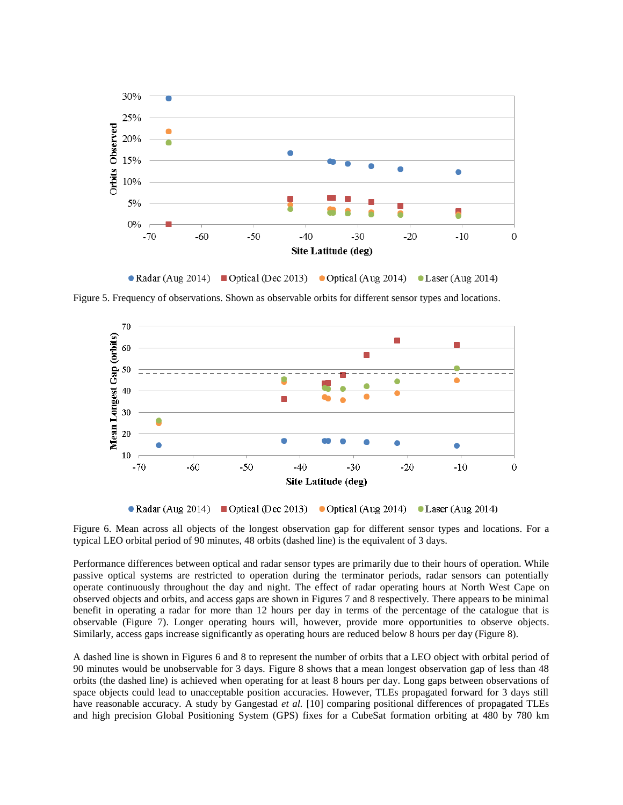

Figure 5. Frequency of observations. Shown as observable orbits for different sensor types and locations.



• Radar (Aug 2014) • Optical (Dec 2013) • Optical (Aug 2014) • Laser (Aug 2014)

Figure 6. Mean across all objects of the longest observation gap for different sensor types and locations. For a typical LEO orbital period of 90 minutes, 48 orbits (dashed line) is the equivalent of 3 days.

Performance differences between optical and radar sensor types are primarily due to their hours of operation. While passive optical systems are restricted to operation during the terminator periods, radar sensors can potentially operate continuously throughout the day and night. The effect of radar operating hours at North West Cape on observed objects and orbits, and access gaps are shown in Figures 7 and 8 respectively. There appears to be minimal benefit in operating a radar for more than 12 hours per day in terms of the percentage of the catalogue that is observable (Figure 7). Longer operating hours will, however, provide more opportunities to observe objects. Similarly, access gaps increase significantly as operating hours are reduced below 8 hours per day (Figure 8).

A dashed line is shown in Figures 6 and 8 to represent the number of orbits that a LEO object with orbital period of 90 minutes would be unobservable for 3 days. Figure 8 shows that a mean longest observation gap of less than 48 orbits (the dashed line) is achieved when operating for at least 8 hours per day. Long gaps between observations of space objects could lead to unacceptable position accuracies. However, TLEs propagated forward for 3 days still have reasonable accuracy. A study by Gangestad *et al.* [\[10\]](#page-9-9) comparing positional differences of propagated TLEs and high precision Global Positioning System (GPS) fixes for a CubeSat formation orbiting at 480 by 780 km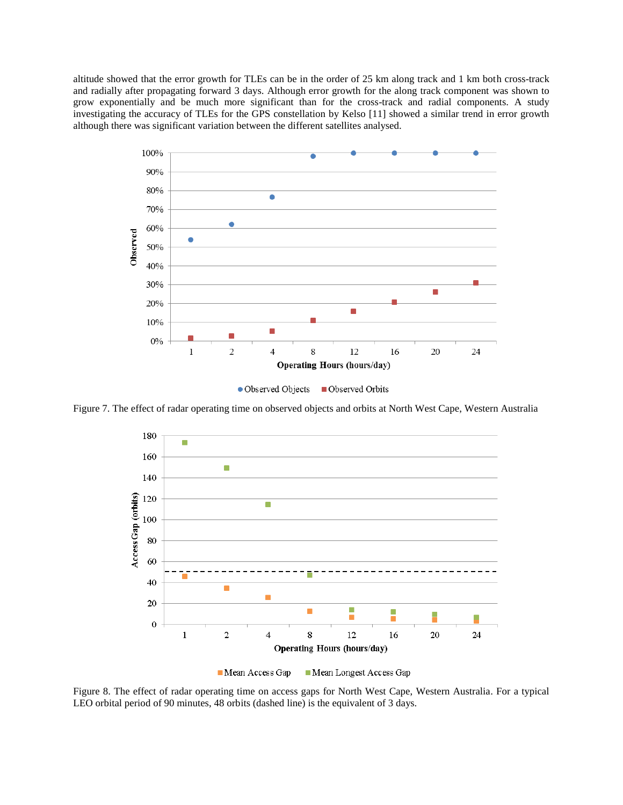altitude showed that the error growth for TLEs can be in the order of 25 km along track and 1 km both cross-track and radially after propagating forward 3 days. Although error growth for the along track component was shown to grow exponentially and be much more significant than for the cross-track and radial components. A study investigating the accuracy of TLEs for the GPS constellation by Kelso [\[11\]](#page-9-10) showed a similar trend in error growth although there was significant variation between the different satellites analysed.





Figure 7. The effect of radar operating time on observed objects and orbits at North West Cape, Western Australia





Figure 8. The effect of radar operating time on access gaps for North West Cape, Western Australia. For a typical LEO orbital period of 90 minutes, 48 orbits (dashed line) is the equivalent of 3 days.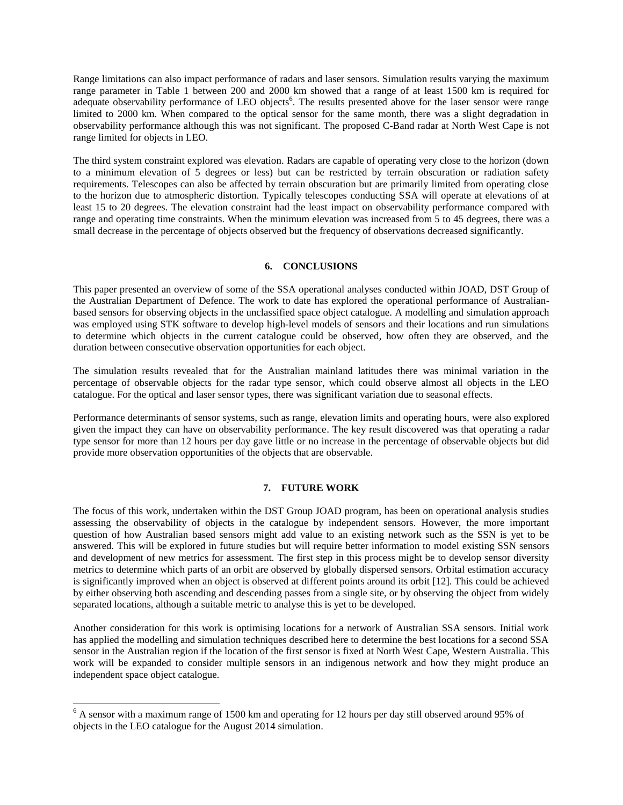Range limitations can also impact performance of radars and laser sensors. Simulation results varying the maximum range parameter in Table 1 between 200 and 2000 km showed that a range of at least 1500 km is required for adequate observability performance of LEO objects<sup>6</sup>. The results presented above for the laser sensor were range limited to 2000 km. When compared to the optical sensor for the same month, there was a slight degradation in observability performance although this was not significant. The proposed C-Band radar at North West Cape is not range limited for objects in LEO.

The third system constraint explored was elevation. Radars are capable of operating very close to the horizon (down to a minimum elevation of 5 degrees or less) but can be restricted by terrain obscuration or radiation safety requirements. Telescopes can also be affected by terrain obscuration but are primarily limited from operating close to the horizon due to atmospheric distortion. Typically telescopes conducting SSA will operate at elevations of at least 15 to 20 degrees. The elevation constraint had the least impact on observability performance compared with range and operating time constraints. When the minimum elevation was increased from 5 to 45 degrees, there was a small decrease in the percentage of objects observed but the frequency of observations decreased significantly.

#### **6. CONCLUSIONS**

This paper presented an overview of some of the SSA operational analyses conducted within JOAD, DST Group of the Australian Department of Defence. The work to date has explored the operational performance of Australianbased sensors for observing objects in the unclassified space object catalogue. A modelling and simulation approach was employed using STK software to develop high-level models of sensors and their locations and run simulations to determine which objects in the current catalogue could be observed, how often they are observed, and the duration between consecutive observation opportunities for each object.

The simulation results revealed that for the Australian mainland latitudes there was minimal variation in the percentage of observable objects for the radar type sensor, which could observe almost all objects in the LEO catalogue. For the optical and laser sensor types, there was significant variation due to seasonal effects.

Performance determinants of sensor systems, such as range, elevation limits and operating hours, were also explored given the impact they can have on observability performance. The key result discovered was that operating a radar type sensor for more than 12 hours per day gave little or no increase in the percentage of observable objects but did provide more observation opportunities of the objects that are observable.

## **7. FUTURE WORK**

The focus of this work, undertaken within the DST Group JOAD program, has been on operational analysis studies assessing the observability of objects in the catalogue by independent sensors. However, the more important question of how Australian based sensors might add value to an existing network such as the SSN is yet to be answered. This will be explored in future studies but will require better information to model existing SSN sensors and development of new metrics for assessment. The first step in this process might be to develop sensor diversity metrics to determine which parts of an orbit are observed by globally dispersed sensors. Orbital estimation accuracy is significantly improved when an object is observed at different points around its orbit [\[12\]](#page-9-11). This could be achieved by either observing both ascending and descending passes from a single site, or by observing the object from widely separated locations, although a suitable metric to analyse this is yet to be developed.

Another consideration for this work is optimising locations for a network of Australian SSA sensors. Initial work has applied the modelling and simulation techniques described here to determine the best locations for a second SSA sensor in the Australian region if the location of the first sensor is fixed at North West Cape, Western Australia. This work will be expanded to consider multiple sensors in an indigenous network and how they might produce an independent space object catalogue.

 $\overline{a}$ 

 $6$  A sensor with a maximum range of 1500 km and operating for 12 hours per day still observed around 95% of objects in the LEO catalogue for the August 2014 simulation.